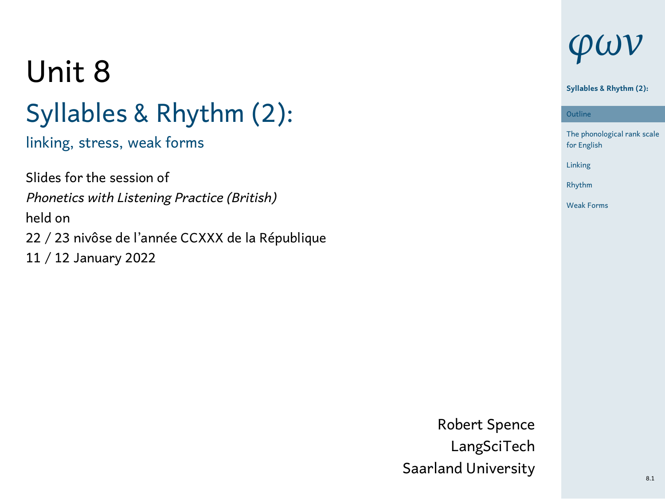# Unit 8 Syllables & Rhythm (2):

linking, stress, weak forms

Slides for the session of *Phonetics with Listening Practice (British)* held on 22 / 23 nivôse de l'année CCXXX de la République 11 / 12 January 2022

# *φων*

#### **Syllables & Rhythm (2):**

1 The phonological rank scale for English Outline Linking Rhythm Weak Forms

Robert Spence LangSciTech Saarland University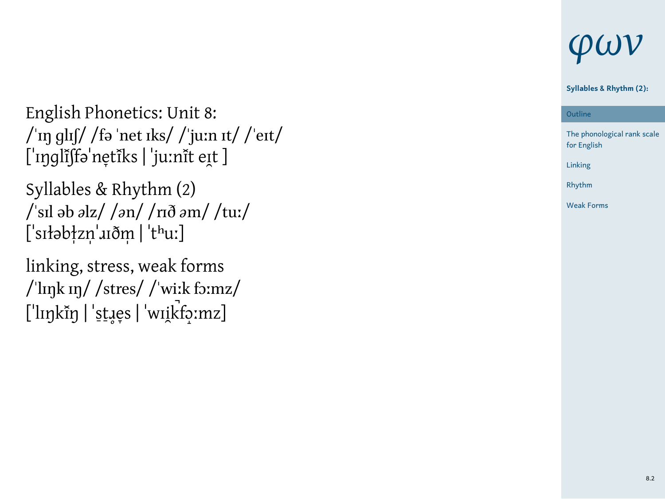English Phonetics: Unit 8: /ˈɪŋ ɡlɪʃ/ /fə ˈnet ɪks/ /ˈjuːn ɪt/ /ˈeɪt/ [ˈɪŋɡlĩʃfəˈne̞tĩks | ˈjuːnɪ̃t eɪ̯t ]

Syllables & Rhythm (2) /ˈsɪl əb *ə*lz/ /*ə*n/ /rɪð *ə*m/ /tuː/ [ˈsɪłəb‡zn̩ˈɹɪðm̩ | ˈtʰuː]

linking, stress, weak forms /ˈlɪŋk ɪŋ/ /stres/ /ˈwiːk fɔːmz/ [ˈlɪŋkɪ̃ŋ | ˈst̪ɹe̞s | ˈwɪi̯kt͡o̞ːmz]

## *φων*

#### **Syllables & Rhythm (2):**

1 The phonological rank scale for English Outline Linking Rhythm Weak Forms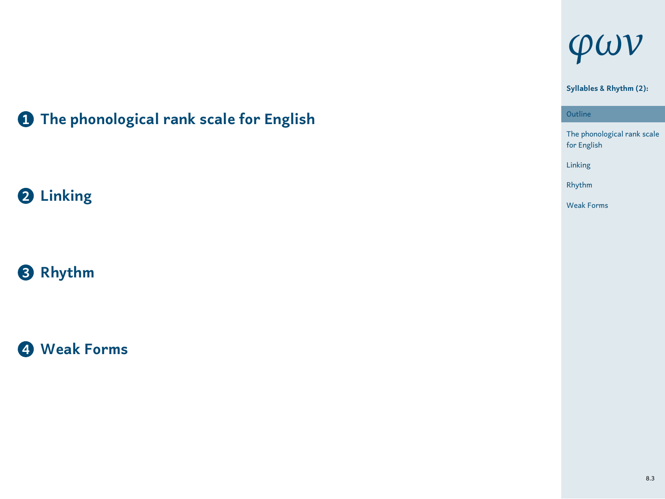# *φων*

## **1 The phonological rank scale for English**

**2 Linking**

**3 Rhythm**

**4 Weak Forms**

**Syllables & Rhythm (2):**

Outline

1 The phonological rank scale for English Linking Rhythm Weak Forms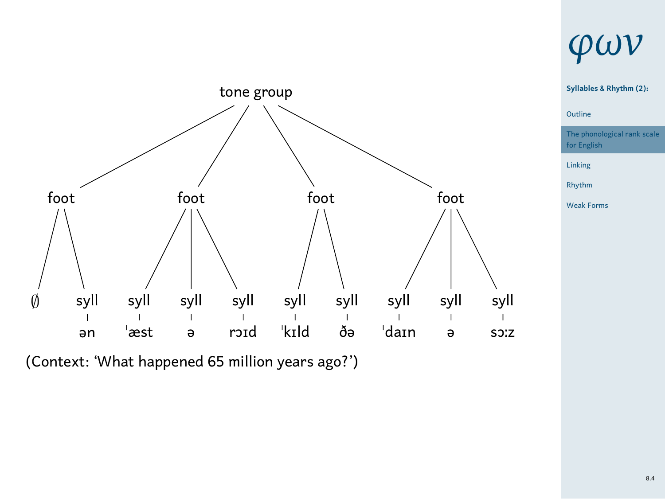

*φων*

**Syllables & Rhythm (2):**

The phonological rank scale for English Linking Rhythm Weak Forms

1 Outline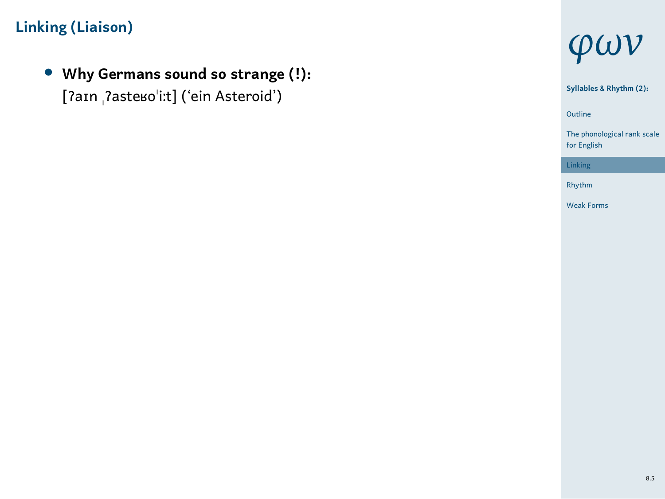*•* **Why Germans sound so strange (!):** [ʔaɪn ˌʔasteʁoˈiːt] ('ein Asteroid')



1 The phonological rank scale for English **Syllables & Rhythm (2):** Outline

Rhythm Weak Forms

Linking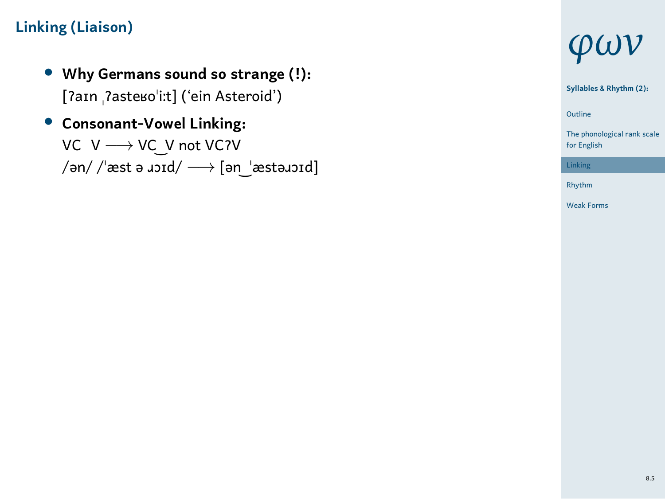- *•* **Why Germans sound so strange (!):** [ʔaɪn ˌʔasteʁoˈiːt] ('ein Asteroid')
- *•* **Consonant-Vowel Linking:** VC V *−→* VC ͜ V not VCʔV /ən/ /ˈæst ə ɹɔɪd/ *−→* [ən ͜ ˈæstəɹɔɪd]



1 Outline **Syllables & Rhythm (2):** The phonological rank scale for English

Linking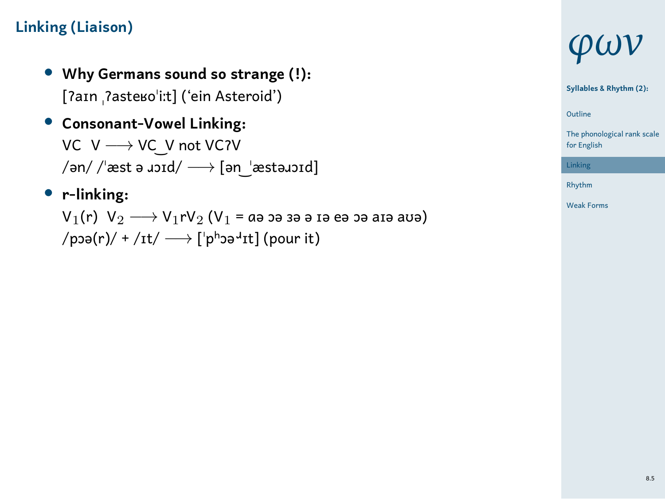- *•* **Why Germans sound so strange (!):** [ʔaɪn ˌʔasteʁoˈiːt] ('ein Asteroid')
- *•* **Consonant-Vowel Linking:** VC V *−→* VC ͜ V not VCʔV /ən/ /ˈæst ə ɹɔɪd/ *−→* [ən ͜ ˈæstəɹɔɪd]
- *•* **r-linking:** <sup>V</sup>1(r) V<sup>2</sup> *−→* <sup>V</sup>1rV<sup>2</sup> (V<sup>1</sup> = ɑə ɔə ɜə ə ɪə eə ɔə aɪə aʊə) /pɔə(r)/ + /ɪt/ *−→* [ˈpʰɔə<sup>ɹ</sup> ɪt] (pour it)



**Syllables & Rhythm (2):**

1 Outline

The phonological rank scale for English Linking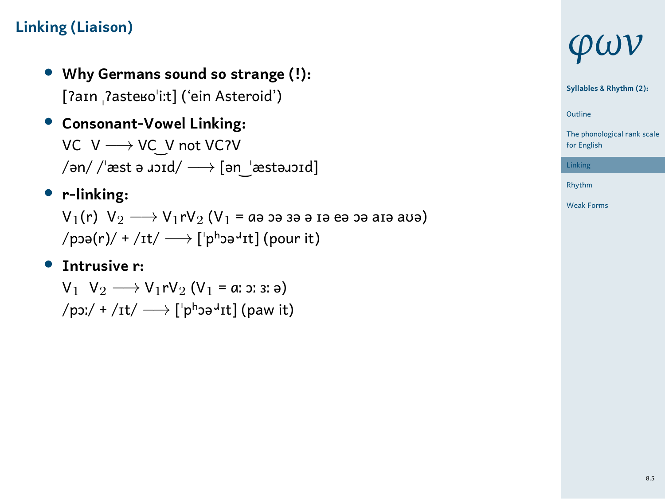- *•* **Why Germans sound so strange (!):** [ʔaɪn ˌʔasteʁoˈiːt] ('ein Asteroid')
- *•* **Consonant-Vowel Linking:** VC V *−→* VC ͜ V not VCʔV /ən/ /ˈæst ə ɹɔɪd/ *−→* [ən ͜ ˈæstəɹɔɪd]
- *•* **r-linking:** <sup>V</sup>1(r) V<sup>2</sup> *−→* <sup>V</sup>1rV<sup>2</sup> (V<sup>1</sup> = ɑə ɔə ɜə ə ɪə eə ɔə aɪə aʊə) /pɔə(r)/ + /ɪt/ *−→* [ˈpʰɔə<sup>ɹ</sup> ɪt] (pour it)
- *•* **Intrusive r:**

V<sub>1</sub> V<sub>2</sub> → V<sub>1</sub>rV<sub>2</sub> (V<sub>1</sub> = a: ɔ: ɜ: ə) /pɔː/ + /ɪt/ *−→* [ˈpʰɔə<sup>ɹ</sup> ɪt] (paw it)

## *φων*

**Syllables & Rhythm (2):**

1 Outline

The phonological rank scale for English Linking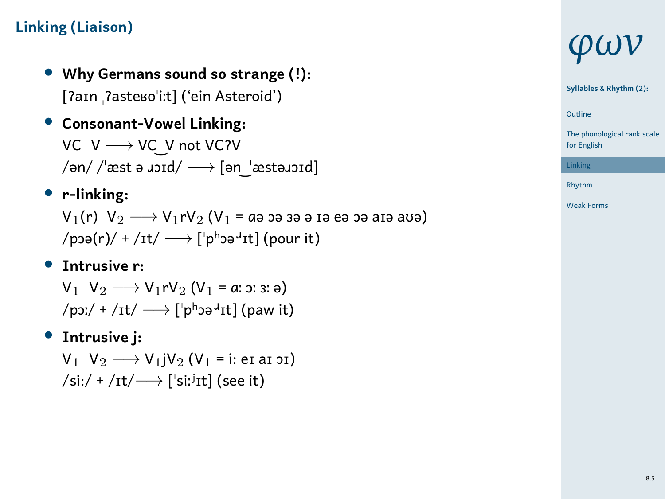- *•* **Why Germans sound so strange (!):** [ʔaɪn ˌʔasteʁoˈiːt] ('ein Asteroid')
- *•* **Consonant-Vowel Linking:** VC V *−→* VC ͜ V not VCʔV /ən/ /ˈæst ə ɹɔɪd/ *−→* [ən ͜ ˈæstəɹɔɪd]
- *•* **r-linking:** V<sub>1</sub>(r) V<sub>2</sub> → V<sub>1</sub>rV<sub>2</sub> (V<sub>1</sub> = aə bə зə ə ɪə eə bə aɪə aʊə) /pɔə(r)/ + /ɪt/ *−→* [ˈpʰɔə<sup>ɹ</sup> ɪt] (pour it)
- *•* **Intrusive r:** V<sub>1</sub> V<sub>2</sub> → V<sub>1</sub>rV<sub>2</sub> (V<sub>1</sub> = a: ɔ: ɜ: ə) /pɔː/ + /ɪt/ *−→* [ˈpʰɔə<sup>ɹ</sup> ɪt] (paw it)
- *•* **Intrusive j:**

<sup>V</sup><sup>1</sup> <sup>V</sup><sup>2</sup> *−→* <sup>V</sup>1jV<sup>2</sup> (V<sup>1</sup> = i: eɪ aɪ ɔɪ) /si:/ + /ɪt/*−→* [ˈsiː ʲɪt] (see it)

## *φων*

**Syllables & Rhythm (2):**

1 Outline The phonological rank scale for English

Linking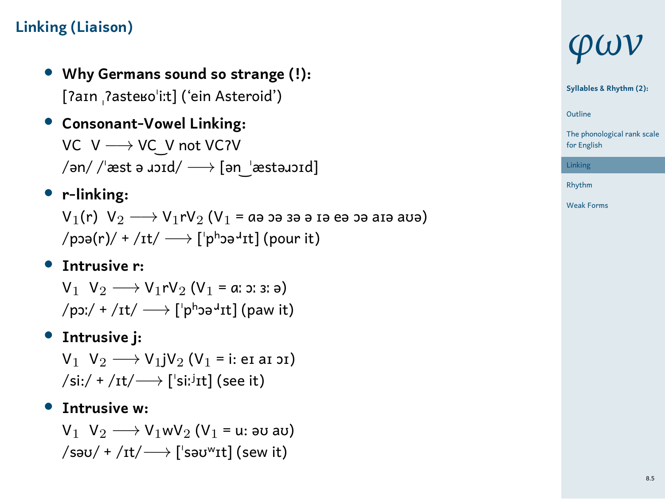- *•* **Why Germans sound so strange (!):** [ʔaɪn ˌʔasteʁoˈiːt] ('ein Asteroid')
- *•* **Consonant-Vowel Linking:** VC V *−→* VC ͜ V not VCʔV /ən/ /ˈæst ə ɹɔɪd/ *−→* [ən ͜ ˈæstəɹɔɪd]
- *•* **r-linking:** V<sub>1</sub>(r) V<sub>2</sub> → V<sub>1</sub>rV<sub>2</sub> (V<sub>1</sub> = aə bə зə ə ɪə eə bə aɪə aʊə) /pɔə(r)/ + /ɪt/ *−→* [ˈpʰɔə<sup>ɹ</sup> ɪt] (pour it)
- *•* **Intrusive r:** V<sub>1</sub> V<sub>2</sub> → V<sub>1</sub>rV<sub>2</sub> (V<sub>1</sub> = a: ɔ: ɜ: ə) /pɔː/ + /ɪt/ *−→* [ˈpʰɔə<sup>ɹ</sup> ɪt] (paw it)
- *•* **Intrusive j:** <sup>V</sup><sup>1</sup> <sup>V</sup><sup>2</sup> *−→* <sup>V</sup>1jV<sup>2</sup> (V<sup>1</sup> = i: eɪ aɪ ɔɪ) /si:/ + /ɪt/*−→* [ˈsiː ʲɪt] (see it)
- *•* **Intrusive w:** V<sub>1</sub> V<sub>2</sub> → V<sub>1</sub>wV<sub>2</sub> (V<sub>1</sub> = u: au au) /səʊ/ + /ɪt/*−→* [ˈsəʊʷɪt] (sew it)

# *φων*

**Syllables & Rhythm (2):**

1 Outline The phonological rank scale for English

Linking Rhythm Weak Forms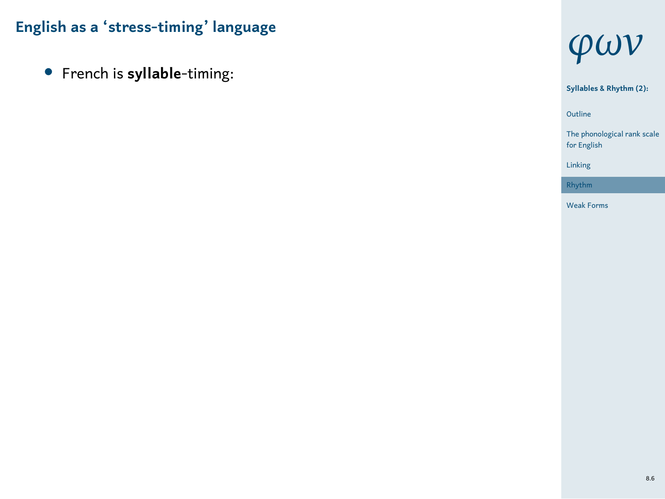*•* French is **syllable**-timing:



1 Outline **Syllables & Rhythm (2):** The phonological rank scale for English Linking Rhythm Weak Forms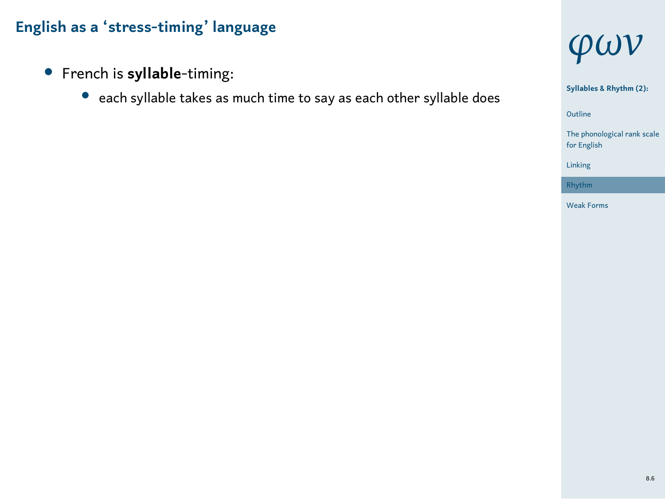- *•* French is **syllable**-timing:
	- *•* each syllable takes as much time to say as each other syllable does





1 Outline

The phonological rank scale for English Linking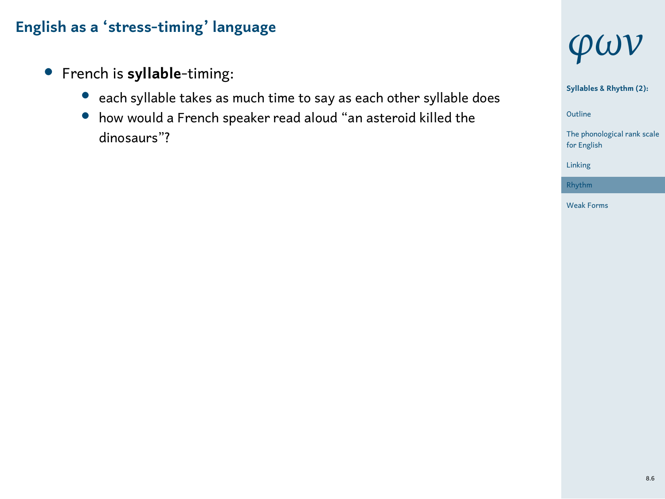- *•* French is **syllable**-timing:
	- *•* each syllable takes as much time to say as each other syllable does
	- *•* how would a French speaker read aloud "an asteroid killed the dinosaurs"?



**Syllables & Rhythm (2):**

1 Outline The phonological rank scale for English

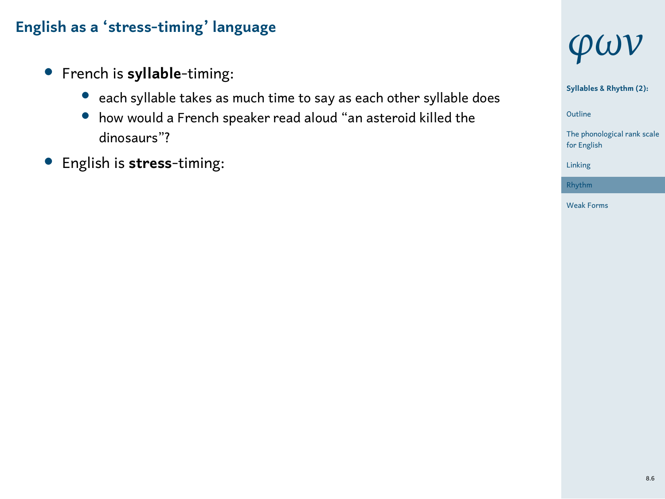- *•* French is **syllable**-timing:
	- *•* each syllable takes as much time to say as each other syllable does
	- *•* how would a French speaker read aloud "an asteroid killed the dinosaurs"?
- *•* English is **stress**-timing:



**Syllables & Rhythm (2):**

1 Outline

The phonological rank scale for English Linking

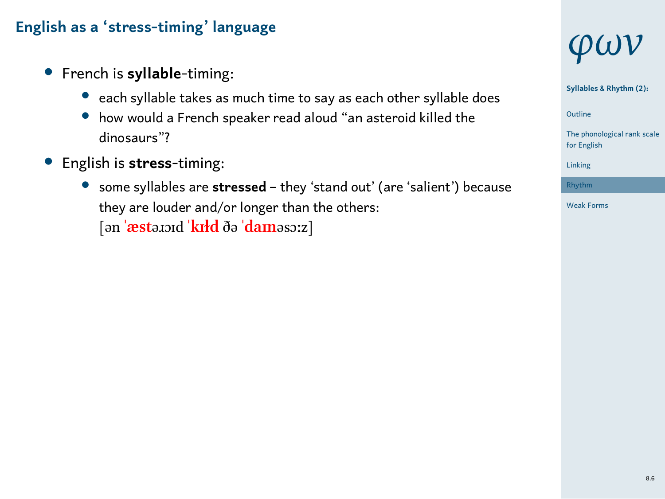- *•* French is **syllable**-timing:
	- *•* each syllable takes as much time to say as each other syllable does
	- *•* how would a French speaker read aloud "an asteroid killed the dinosaurs"?
- *•* English is **stress**-timing:
	- *•* some syllables are **stressed** they 'stand out' (are 'salient') because they are louder and/or longer than the others: [ən **ˈæst**əɹɔɪd **ˈkɪɫd** ðə **ˈdaɪn**əsɔːz]



**Syllables & Rhythm (2):**

1 Outline

The phonological rank scale for English

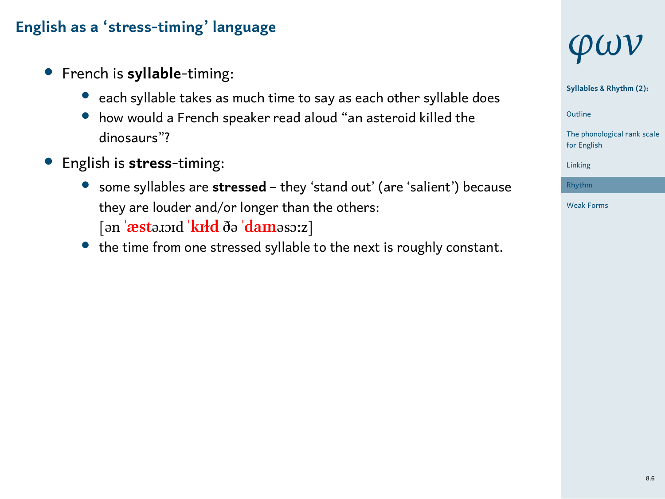- *•* French is **syllable**-timing:
	- *•* each syllable takes as much time to say as each other syllable does
	- *•* how would a French speaker read aloud "an asteroid killed the dinosaurs"?
- *•* English is **stress**-timing:
	- *•* some syllables are **stressed** they 'stand out' (are 'salient') because they are louder and/or longer than the others: [ən **ˈæst**əɹɔɪd **ˈkɪɫd** ðə **ˈdaɪn**əsɔːz]
	- *•* the time from one stressed syllable to the next is roughly constant.



**Syllables & Rhythm (2):**

1 Outline

The phonological rank scale for English Linking



8.6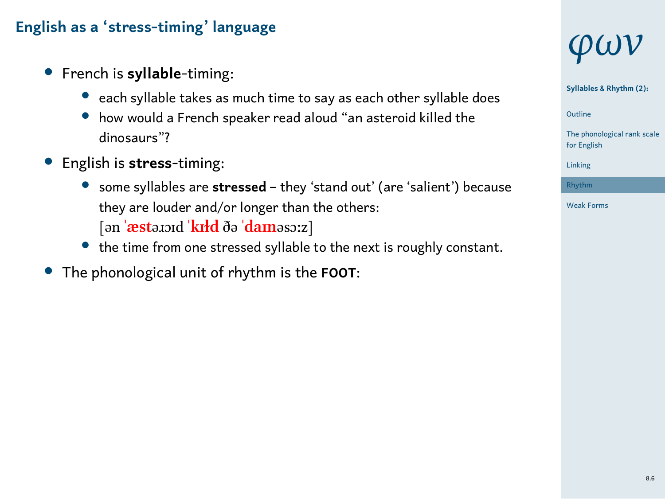- *•* French is **syllable**-timing:
	- *•* each syllable takes as much time to say as each other syllable does
	- *•* how would a French speaker read aloud "an asteroid killed the dinosaurs"?
- *•* English is **stress**-timing:
	- *•* some syllables are **stressed** they 'stand out' (are 'salient') because they are louder and/or longer than the others: [ən **ˈæst**əɹɔɪd **ˈkɪɫd** ðə **ˈdaɪn**əsɔːz]
	- *•* the time from one stressed syllable to the next is roughly constant.
- *•* The phonological unit of rhythm is the **FOOT**:



**Syllables & Rhythm (2):**

1 Outline





8.6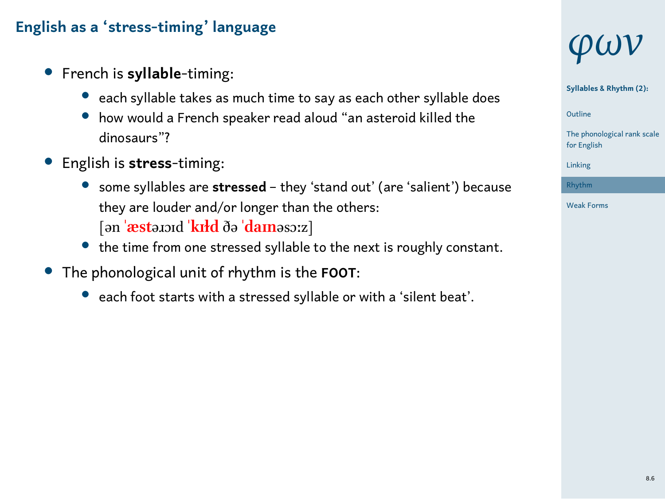- *•* French is **syllable**-timing:
	- *•* each syllable takes as much time to say as each other syllable does
	- *•* how would a French speaker read aloud "an asteroid killed the dinosaurs"?
- *•* English is **stress**-timing:
	- *•* some syllables are **stressed** they 'stand out' (are 'salient') because they are louder and/or longer than the others: [ən **ˈæst**əɹɔɪd **ˈkɪɫd** ðə **ˈdaɪn**əsɔːz]
	- *•* the time from one stressed syllable to the next is roughly constant.
- *•* The phonological unit of rhythm is the **FOOT**:
	- *•* each foot starts with a stressed syllable or with a 'silent beat'.

# *φων*

**Syllables & Rhythm (2):**

1 Outline



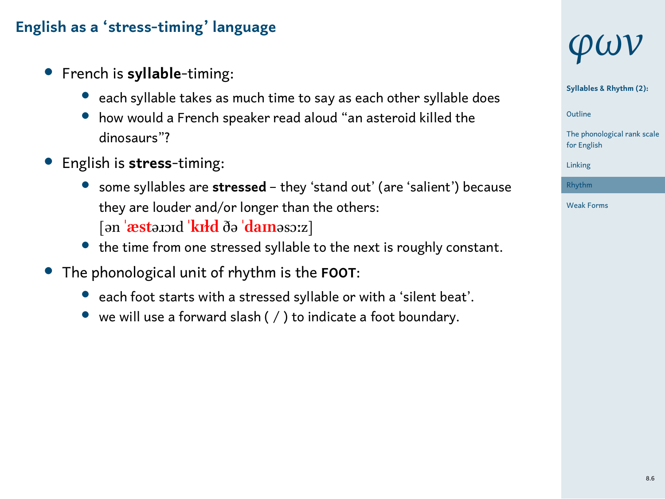- *•* French is **syllable**-timing:
	- *•* each syllable takes as much time to say as each other syllable does
	- *•* how would a French speaker read aloud "an asteroid killed the dinosaurs"?
- *•* English is **stress**-timing:
	- *•* some syllables are **stressed** they 'stand out' (are 'salient') because they are louder and/or longer than the others: [ən **ˈæst**əɹɔɪd **ˈkɪɫd** ðə **ˈdaɪn**əsɔːz]
	- *•* the time from one stressed syllable to the next is roughly constant.
- *•* The phonological unit of rhythm is the **FOOT**:
	- *•* each foot starts with a stressed syllable or with a 'silent beat'.
	- *•* we will use a forward slash ( / ) to indicate a foot boundary.



**Syllables & Rhythm (2):**

1 Outline





8.6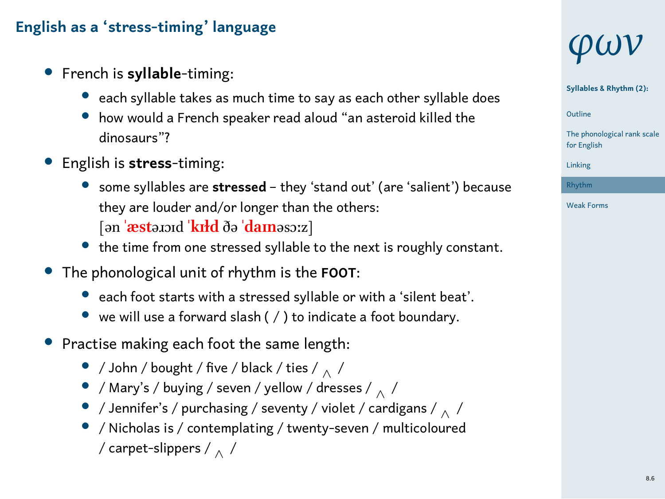- *•* French is **syllable**-timing:
	- *•* each syllable takes as much time to say as each other syllable does
	- *•* how would a French speaker read aloud "an asteroid killed the dinosaurs"?
- *•* English is **stress**-timing:
	- *•* some syllables are **stressed** they 'stand out' (are 'salient') because they are louder and/or longer than the others: [ən **ˈæst**əɹɔɪd **ˈkɪɫd** ðə **ˈdaɪn**əsɔːz]
	- *•* the time from one stressed syllable to the next is roughly constant.
- *•* The phonological unit of rhythm is the **FOOT**:
	- *•* each foot starts with a stressed syllable or with a 'silent beat'.
	- *•* we will use a forward slash ( / ) to indicate a foot boundary.
- *•* Practise making each foot the same length:
	- *•* / John / bought / five / black / ties / *<sup>∧</sup>* /
	- *•* / Mary's / buying / seven / yellow / dresses / *<sup>∧</sup>* /
	- *•* / Jennifer's / purchasing / seventy / violet / cardigans / *<sup>∧</sup>* /
	- *•* / Nicholas is / contemplating / twenty-seven / multicoloured
		- / carpet-slippers / *<sup>∧</sup>* /

# *φων*

**Syllables & Rhythm (2):**

1 Outline

The phonological rank scale for English

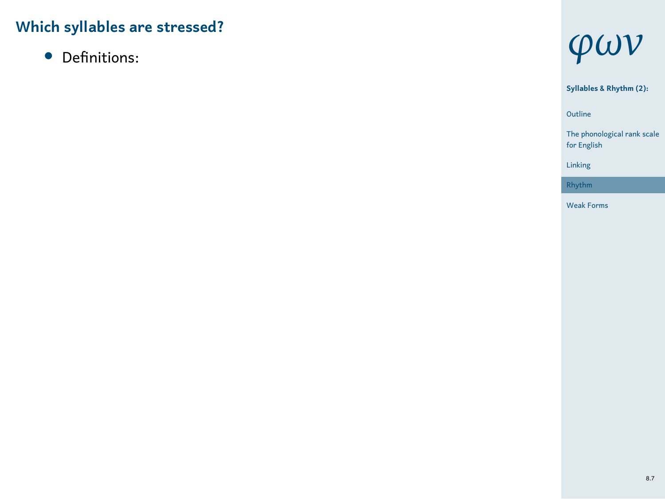*•* Definitions:



1 Outline **Syllables & Rhythm (2):** The phonological rank scale for English Linking Rhythm Weak Forms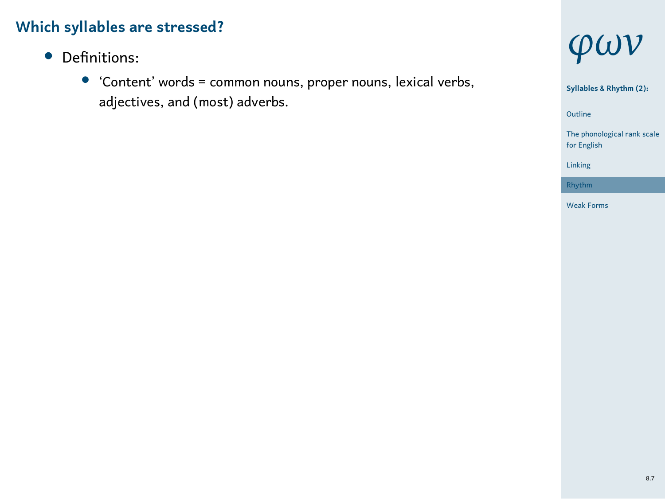- *•* Definitions:
	- *•* 'Content' words = common nouns, proper nouns, lexical verbs, adjectives, and (most) adverbs.



1 Outline **Syllables & Rhythm (2):**

The phonological rank scale for English



8.7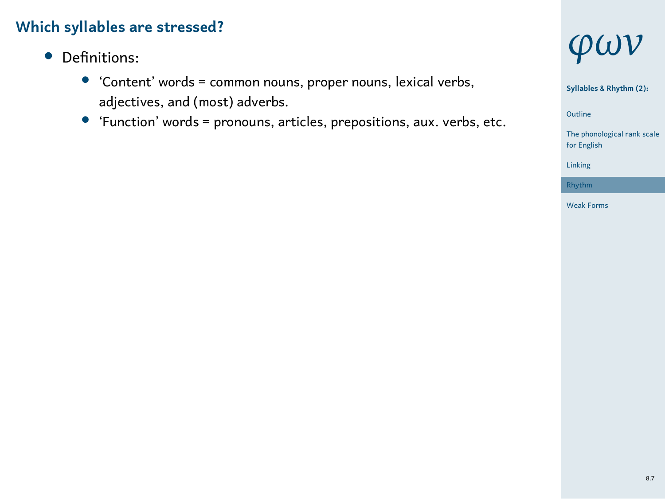- *•* Definitions:
	- *•* 'Content' words = common nouns, proper nouns, lexical verbs, adjectives, and (most) adverbs.
	- *•* 'Function' words = pronouns, articles, prepositions, aux. verbs, etc.



**Syllables & Rhythm (2):**

1 Outline

The phonological rank scale for English Linking

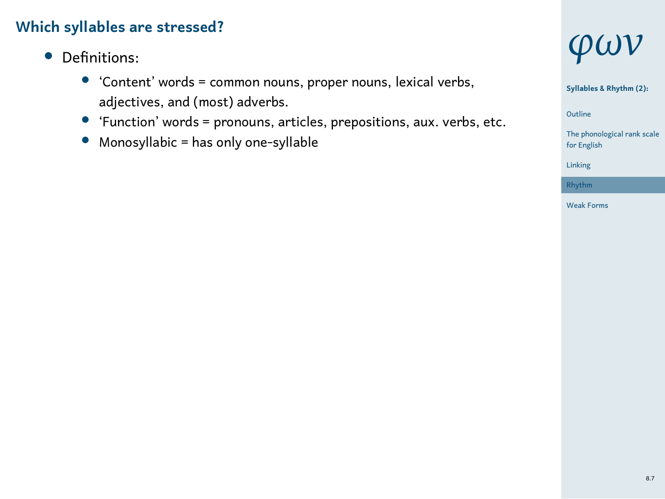- *•* Definitions:
	- *•* 'Content' words = common nouns, proper nouns, lexical verbs, adjectives, and (most) adverbs.
	- *•* 'Function' words = pronouns, articles, prepositions, aux. verbs, etc.
	- *•* Monosyllabic = has only one-syllable



**Syllables & Rhythm (2):**

1 Outline

cal rank scale The phonolog<br>for English

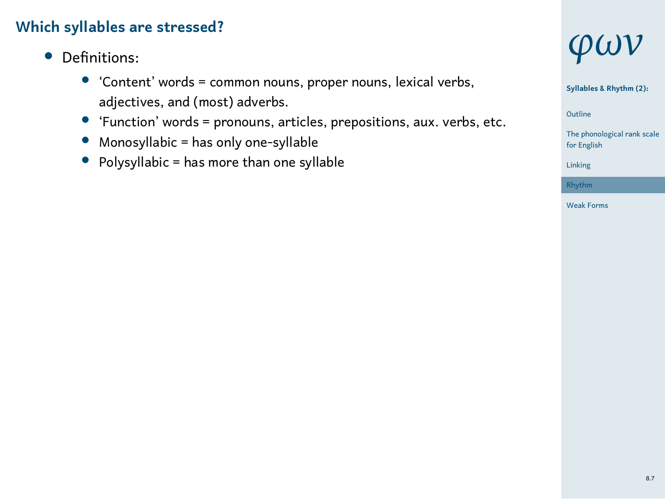- *•* Definitions:
	- *•* 'Content' words = common nouns, proper nouns, lexical verbs, adjectives, and (most) adverbs.
	- *•* 'Function' words = pronouns, articles, prepositions, aux. verbs, etc.
	- *•* Monosyllabic = has only one-syllable
	- *•* Polysyllabic = has more than one syllable



**Syllables & Rhythm (2):**

1 Outline

The phonological rank scale for English

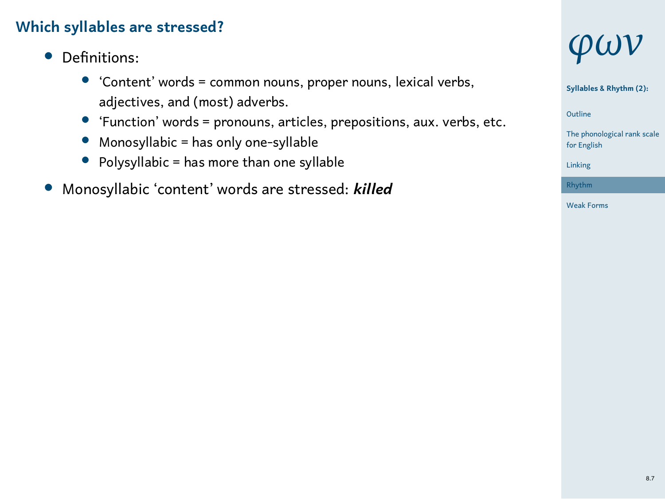- *•* Definitions:
	- *•* 'Content' words = common nouns, proper nouns, lexical verbs, adjectives, and (most) adverbs.
	- *•* 'Function' words = pronouns, articles, prepositions, aux. verbs, etc.
	- *•* Monosyllabic = has only one-syllable
	- *•* Polysyllabic = has more than one syllable
- *•* Monosyllabic 'content' words are stressed: *killed*



**Syllables & Rhythm (2):**

1 Outline

The phonological rank scale for English

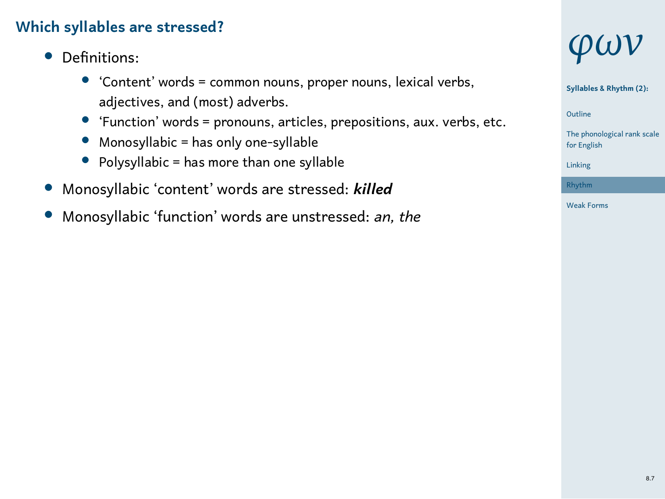- *•* Definitions:
	- *•* 'Content' words = common nouns, proper nouns, lexical verbs, adjectives, and (most) adverbs.
	- *•* 'Function' words = pronouns, articles, prepositions, aux. verbs, etc.
	- *•* Monosyllabic = has only one-syllable
	- *•* Polysyllabic = has more than one syllable
- *•* Monosyllabic 'content' words are stressed: *killed*
- *•* Monosyllabic 'function' words are unstressed: *an, the*



**Syllables & Rhythm (2):**

1 Outline

The phonological rank scale for English

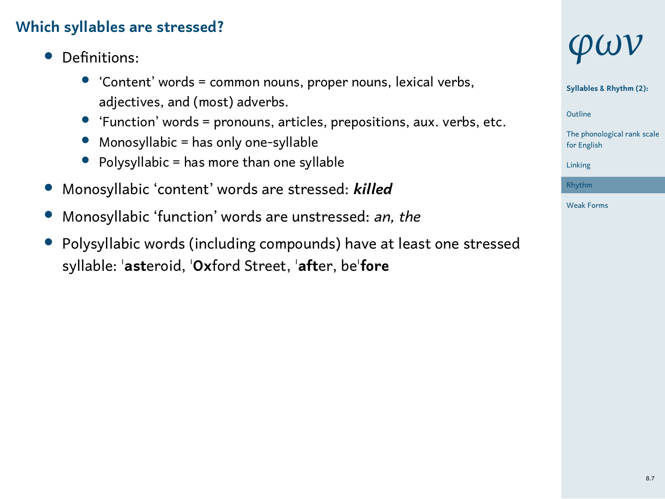- *•* Definitions:
	- *•* 'Content' words = common nouns, proper nouns, lexical verbs, adjectives, and (most) adverbs.
	- *•* 'Function' words = pronouns, articles, prepositions, aux. verbs, etc.
	- *•* Monosyllabic = has only one-syllable
	- *•* Polysyllabic = has more than one syllable
- *•* Monosyllabic 'content' words are stressed: *killed*
- *•* Monosyllabic 'function' words are unstressed: *an, the*
- *•* Polysyllabic words (including compounds) have at least one stressed syllable: ˈ**ast**eroid, ˈ**Ox**ford Street, ˈ**aft**er, beˈ**fore**



**Syllables & Rhythm (2):**

1 Outline

The phonological rank scale for English



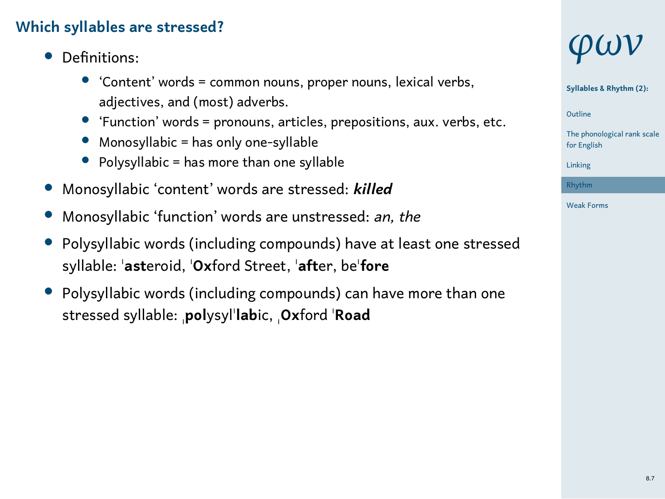- *•* Definitions:
	- *•* 'Content' words = common nouns, proper nouns, lexical verbs, adjectives, and (most) adverbs.
	- *•* 'Function' words = pronouns, articles, prepositions, aux. verbs, etc.
	- *•* Monosyllabic = has only one-syllable
	- *•* Polysyllabic = has more than one syllable
- *•* Monosyllabic 'content' words are stressed: *killed*
- *•* Monosyllabic 'function' words are unstressed: *an, the*
- *•* Polysyllabic words (including compounds) have at least one stressed syllable: ˈ**ast**eroid, ˈ**Ox**ford Street, ˈ**aft**er, beˈ**fore**
- *•* Polysyllabic words (including compounds) can have more than one stressed syllable: ˌ**pol**ysylˈ**lab**ic, ˌ**Ox**ford ˈ**Road**

# *φων*

**Syllables & Rhythm (2):**

1 Outline



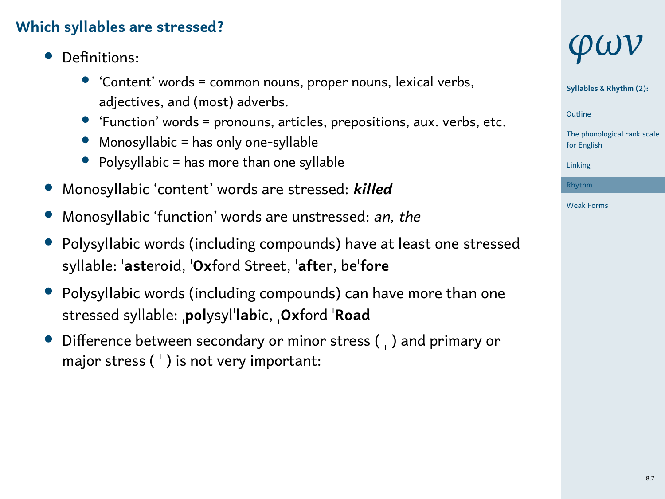- *•* Definitions:
	- *•* 'Content' words = common nouns, proper nouns, lexical verbs, adjectives, and (most) adverbs.
	- *•* 'Function' words = pronouns, articles, prepositions, aux. verbs, etc.
	- *•* Monosyllabic = has only one-syllable
	- *•* Polysyllabic = has more than one syllable
- *•* Monosyllabic 'content' words are stressed: *killed*
- *•* Monosyllabic 'function' words are unstressed: *an, the*
- *•* Polysyllabic words (including compounds) have at least one stressed syllable: ˈ**ast**eroid, ˈ**Ox**ford Street, ˈ**aft**er, beˈ**fore**
- *•* Polysyllabic words (including compounds) can have more than one stressed syllable: ˌ**pol**ysylˈ**lab**ic, ˌ**Ox**ford ˈ**Road**
- *•* Difference between secondary or minor stress ( ˌ ) and primary or major stress ( ˈ ) is not very important:

## *φων*

**Syllables & Rhythm (2):**

1 Outline

The phonological rank scale for English

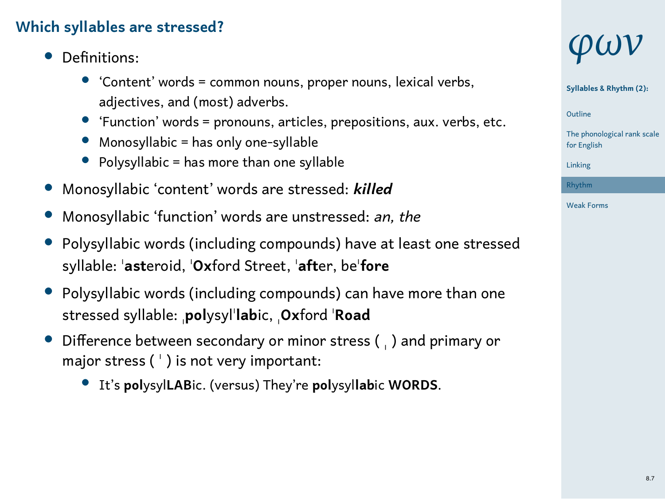- *•* Definitions:
	- *•* 'Content' words = common nouns, proper nouns, lexical verbs, adjectives, and (most) adverbs.
	- *•* 'Function' words = pronouns, articles, prepositions, aux. verbs, etc.
	- *•* Monosyllabic = has only one-syllable
	- *•* Polysyllabic = has more than one syllable
- *•* Monosyllabic 'content' words are stressed: *killed*
- *•* Monosyllabic 'function' words are unstressed: *an, the*
- *•* Polysyllabic words (including compounds) have at least one stressed syllable: ˈ**ast**eroid, ˈ**Ox**ford Street, ˈ**aft**er, beˈ**fore**
- *•* Polysyllabic words (including compounds) can have more than one stressed syllable: ˌ**pol**ysylˈ**lab**ic, ˌ**Ox**ford ˈ**Road**
- *•* Difference between secondary or minor stress ( ˌ ) and primary or major stress ( ˈ ) is not very important:
	- *•* It's **pol**ysyl**LAB**ic. (versus) They're **pol**ysyl**lab**ic **WORDS**.

## *φων*

**Syllables & Rhythm (2):**

1 Outline

The phonological rank scale for English

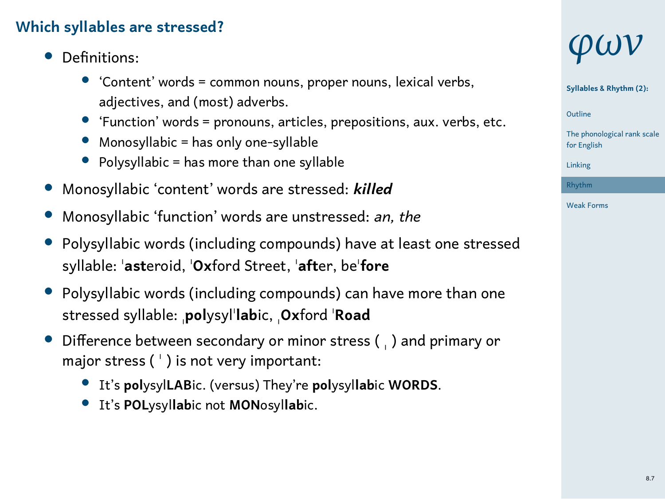- *•* Definitions:
	- *•* 'Content' words = common nouns, proper nouns, lexical verbs, adjectives, and (most) adverbs.
	- *•* 'Function' words = pronouns, articles, prepositions, aux. verbs, etc.
	- *•* Monosyllabic = has only one-syllable
	- *•* Polysyllabic = has more than one syllable
- *•* Monosyllabic 'content' words are stressed: *killed*
- *•* Monosyllabic 'function' words are unstressed: *an, the*
- *•* Polysyllabic words (including compounds) have at least one stressed syllable: ˈ**ast**eroid, ˈ**Ox**ford Street, ˈ**aft**er, beˈ**fore**
- *•* Polysyllabic words (including compounds) can have more than one stressed syllable: ˌ**pol**ysylˈ**lab**ic, ˌ**Ox**ford ˈ**Road**
- *•* Difference between secondary or minor stress ( ˌ ) and primary or major stress ( ˈ ) is not very important:
	- *•* It's **pol**ysyl**LAB**ic. (versus) They're **pol**ysyl**lab**ic **WORDS**.
	- *•* It's **POL**ysyl**lab**ic not **MON**osyl**lab**ic.

## *φων*

**Syllables & Rhythm (2):**

1 Outline

The phonological rank scale for English

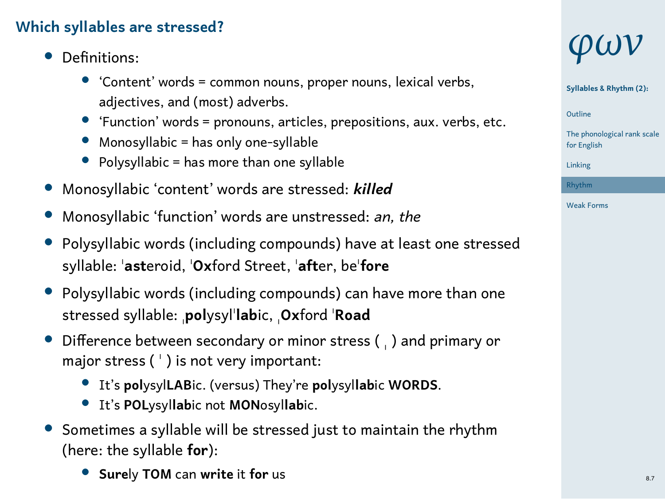- *•* Definitions:
	- *•* 'Content' words = common nouns, proper nouns, lexical verbs, adjectives, and (most) adverbs.
	- *•* 'Function' words = pronouns, articles, prepositions, aux. verbs, etc.
	- *•* Monosyllabic = has only one-syllable
	- *•* Polysyllabic = has more than one syllable
- *•* Monosyllabic 'content' words are stressed: *killed*
- *•* Monosyllabic 'function' words are unstressed: *an, the*
- *•* Polysyllabic words (including compounds) have at least one stressed syllable: ˈ**ast**eroid, ˈ**Ox**ford Street, ˈ**aft**er, beˈ**fore**
- *•* Polysyllabic words (including compounds) can have more than one stressed syllable: ˌ**pol**ysylˈ**lab**ic, ˌ**Ox**ford ˈ**Road**
- *•* Difference between secondary or minor stress ( ˌ ) and primary or major stress ( ˈ ) is not very important:
	- *•* It's **pol**ysyl**LAB**ic. (versus) They're **pol**ysyl**lab**ic **WORDS**.
	- *•* It's **POL**ysyl**lab**ic not **MON**osyl**lab**ic.
- *•* Sometimes a syllable will be stressed just to maintain the rhythm (here: the syllable **for**):
	- *•* **Sure**ly **TOM** can **write** it **for** us

## *φων*

**Syllables & Rhythm (2):**

1 Outline

The phonological rank scale for English

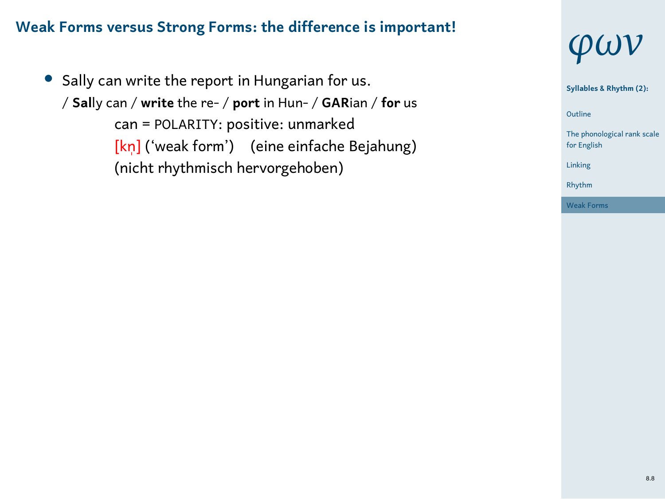#### **Weak Forms versus Strong Forms: the difference is important!**

*•* Sally can write the report in Hungarian for us. / **Sal**ly can / **write** the re- / **port** in Hun- / **GAR**ian / **for** us can = POLARITY: positive: unmarked [kn̩] ('weak form') (eine einfache Bejahung) (nicht rhythmisch hervorgehoben)



1 Outline **Syllables & Rhythm (2):** tical rank scale The phonolog<br>for English Linking Rhythm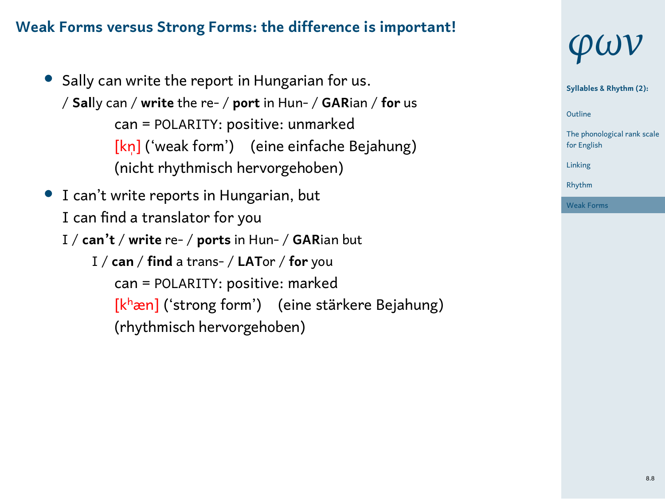#### **Weak Forms versus Strong Forms: the difference is important!**

- *•* Sally can write the report in Hungarian for us. / **Sal**ly can / **write** the re- / **port** in Hun- / **GAR**ian / **for** us can = POLARITY: positive: unmarked [kn̩] ('weak form') (eine einfache Bejahung) (nicht rhythmisch hervorgehoben)
- *•* I can't write reports in Hungarian, but I can find a translator for you I / **can't** / **write** re- / **ports** in Hun- / **GAR**ian but
	- I / **can** / **find** a trans- / **LAT**or / **for** you can = POLARITY: positive: marked [kʰæn] ('strong form') (eine stärkere Bejahung) (rhythmisch hervorgehoben)



1 Outline **Syllables & Rhythm (2):**

The phonological rank scale for English Linking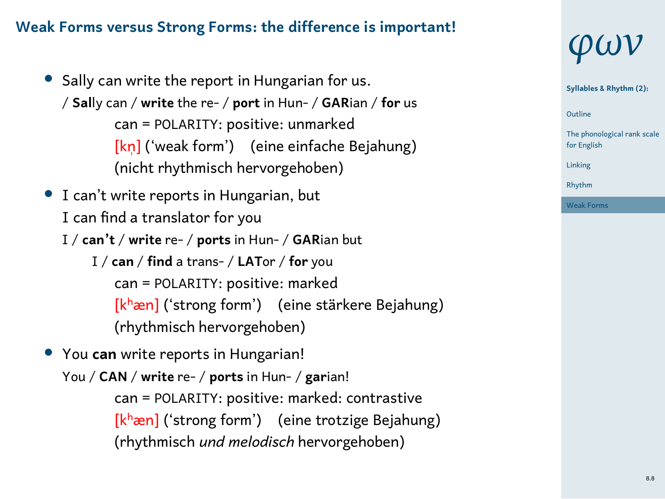#### **Weak Forms versus Strong Forms: the difference is important!**

- *•* Sally can write the report in Hungarian for us. / **Sal**ly can / **write** the re- / **port** in Hun- / **GAR**ian / **for** us can = POLARITY: positive: unmarked [kn̩] ('weak form') (eine einfache Bejahung) (nicht rhythmisch hervorgehoben)
- *•* I can't write reports in Hungarian, but I can find a translator for you I / **can't** / **write** re- / **ports** in Hun- / **GAR**ian but
	- I / **can** / **find** a trans- / **LAT**or / **for** you can = POLARITY: positive: marked [kʰæn] ('strong form') (eine stärkere Bejahung) (rhythmisch hervorgehoben)
- *•* You **can** write reports in Hungarian! You / **CAN** / **write** re- / **ports** in Hun- / **gar**ian! can = POLARITY: positive: marked: contrastive [kʰæn] ('strong form') (eine trotzige Bejahung) (rhythmisch *und melodisch* hervorgehoben)



1 Outline **Syllables & Rhythm (2):** The phonological rank scale for English

Linking Rhythm Weak Forms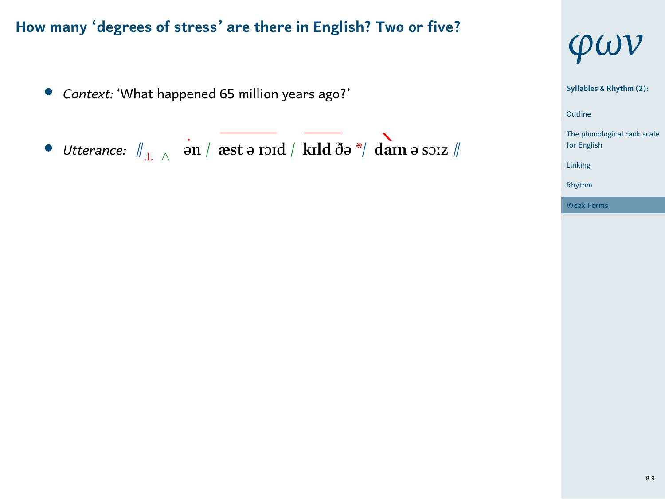- *• Context:* 'What happened 65 million years ago?'
- *• Utterance:* //.1. *<sup>∧</sup>* ən / **æst** ə rɔɪd / **kɪld** ðə \*/ **daɪn** ə sɔːz //



1 Outline cal rank scale The phonolo<br>for English Linking Rhythm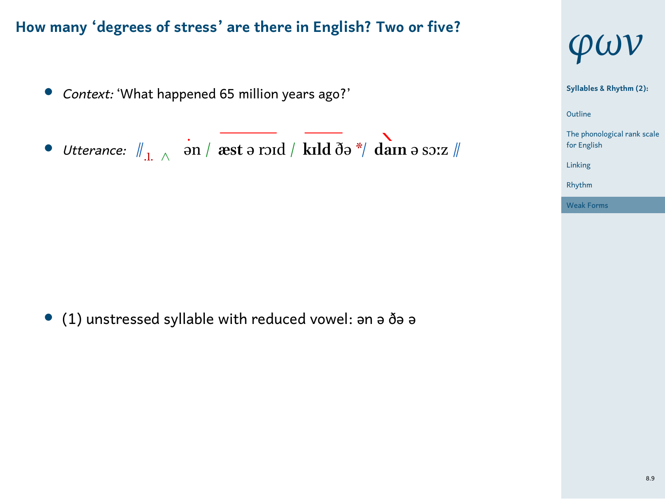- *• Context:* 'What happened 65 million years ago?'
- *• Utterance:* //.1. *<sup>∧</sup>* ən / **æst** ə rɔɪd / **kɪld** ðə \*/ **daɪn** ə sɔːz //



1 Outline The phonological rank scale for English Linking Rhythm Weak Forms

*•* (1) unstressed syllable with reduced vowel: ən ə ðə ə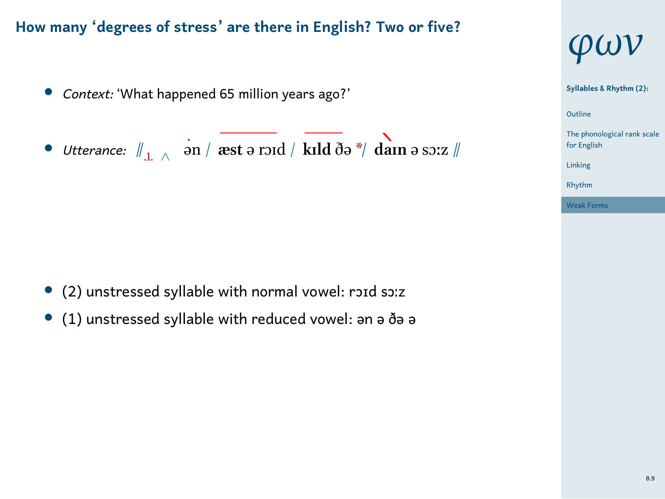- *• Context:* 'What happened 65 million years ago?'
- *• Utterance:* //.1. *<sup>∧</sup>* ən / **æst** ə rɔɪd / **kɪld** ðə \*/ **daɪn** ə sɔːz //



1 Outline The phonological rank scale for English Linking Rhythm Weak Forms

- *•* (2) unstressed syllable with normal vowel: rɔɪd sɔːz
- *•* (1) unstressed syllable with reduced vowel: ən ə ðə ə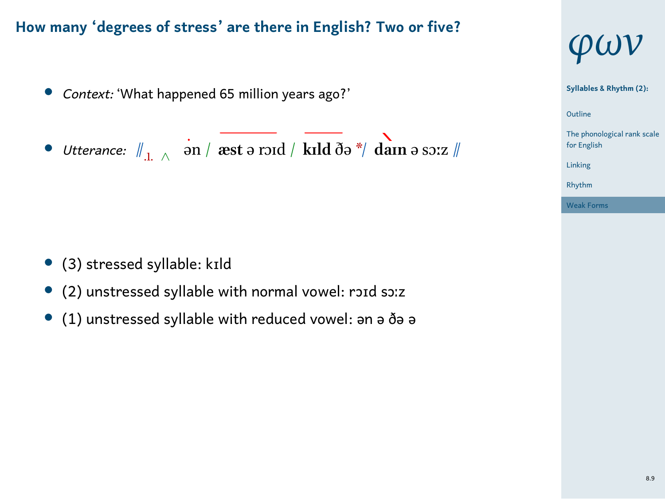- *• Context:* 'What happened 65 million years ago?'
- *• Utterance:* //.1. *<sup>∧</sup>* ən / **æst** ə rɔɪd / **kɪld** ðə \*/ **daɪn** ə sɔːz //



- *•* (2) unstressed syllable with normal vowel: rɔɪd sɔːz
- *•* (1) unstressed syllable with reduced vowel: ən ə ðə ə



1 Outline The phonological rank scale for English Linking Rhythm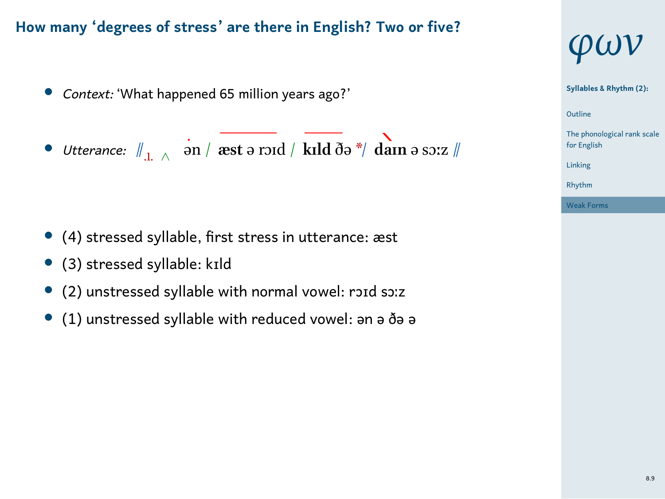- *• Context:* 'What happened 65 million years ago?'
- *• Utterance:* //.1. *<sup>∧</sup>* ən / **æst** ə rɔɪd / **kɪld** ðə \*/ **daɪn** ə sɔːz //
- *•* (4) stressed syllable, first stress in utterance: æst
- *•* (3) stressed syllable: kɪld
- *•* (2) unstressed syllable with normal vowel: rɔɪd sɔːz
- *•* (1) unstressed syllable with reduced vowel: ən ə ðə ə



## 1 Outline The phonological rank scale for English Linking Rhythm

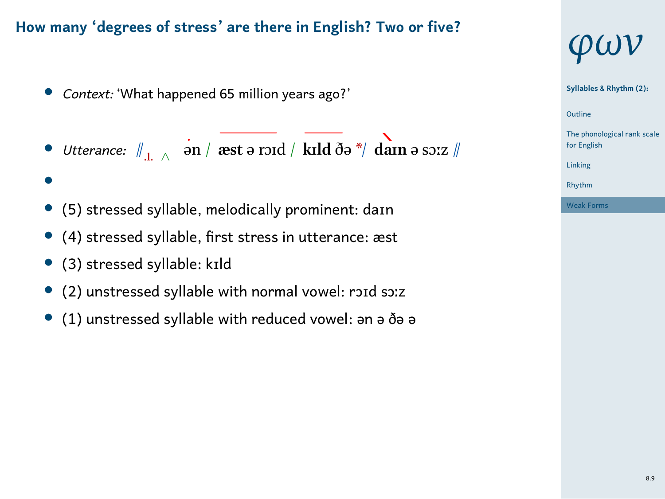- *• Context:* 'What happened 65 million years ago?'
- *• Utterance:* //.1. *<sup>∧</sup>* ən / **æst** ə rɔɪd / **kɪld** ðə \*/ **daɪn** ə sɔːz //
- *•*
- *•* (5) stressed syllable, melodically prominent: daɪn
- *•* (4) stressed syllable, first stress in utterance: æst
- *•* (3) stressed syllable: kɪld
- *•* (2) unstressed syllable with normal vowel: rɔɪd sɔːz
- *•* (1) unstressed syllable with reduced vowel: ən ə ðə ə



1 Outline **Syllables & Rhythm (2):** The phonological rank scale for English Linking Rhythm

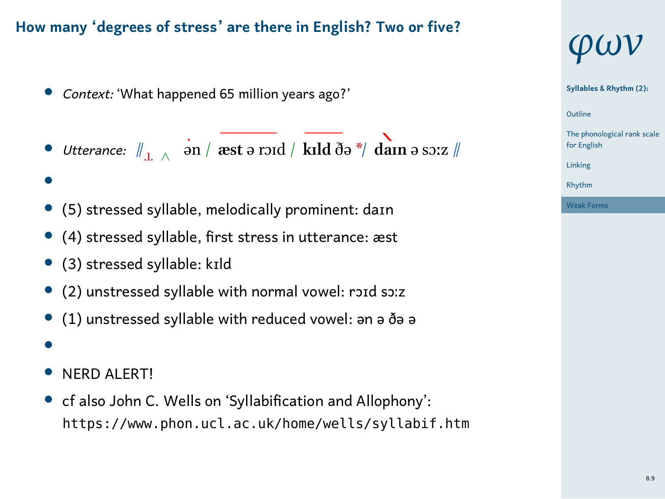- *• Context:* 'What happened 65 million years ago?'
- *• Utterance:* //.1. *<sup>∧</sup>* ən / **æst** ə rɔɪd / **kɪld** ðə \*/ **daɪn** ə sɔːz //
- *•*
- *•* (5) stressed syllable, melodically prominent: daɪn
- *•* (4) stressed syllable, first stress in utterance: æst
- *•* (3) stressed syllable: kɪld
- *•* (2) unstressed syllable with normal vowel: rɔɪd sɔːz
- *•* (1) unstressed syllable with reduced vowel: ən ə ðə ə
- *•*
- *•* NERD ALERT!
- *•* cf also John C. Wells on 'Syllabification and Allophony': https://www.phon.ucl.ac.uk/home/wells/syllabif.htm

# *φων*

1 Outline **Syllables & Rhythm (2):** The phonological rank scale for English Linking Rhythm

Weak Forms



8.9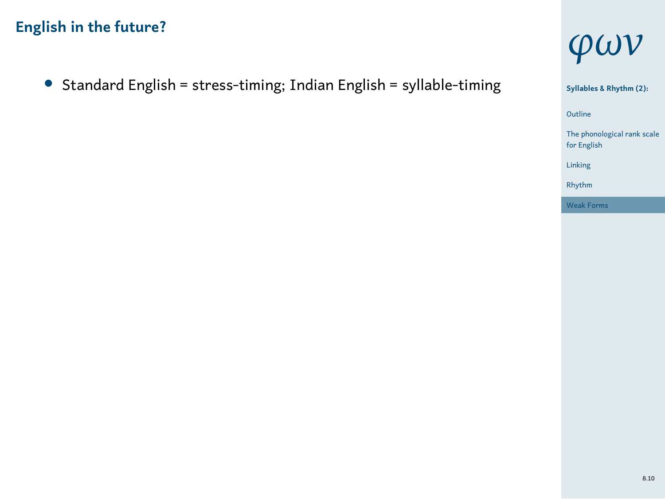*•* Standard English = stress-timing; Indian English = syllable-timing



ne **Syllables & Rhythm (2):** Outline tal rank scale for English Linking Rhythm Weak For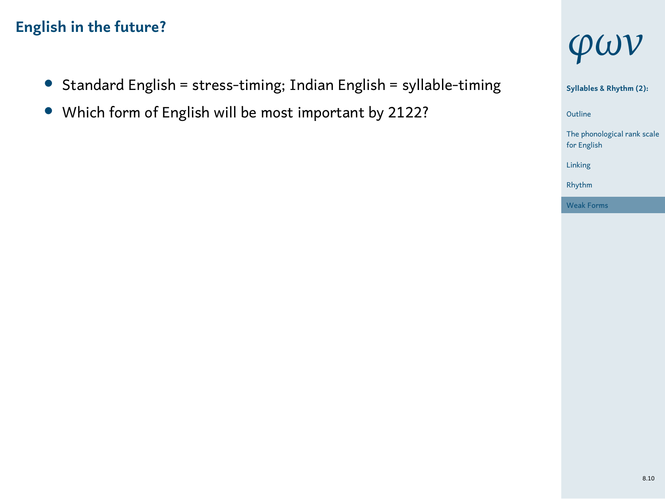- *•* Standard English = stress-timing; Indian English = syllable-timing
- *•* Which form of English will be most important by 2122?



1 Outline **Syllables & Rhythm (2):** cal rank scale The phonolo<br>for English Linking Rhythm Weak Form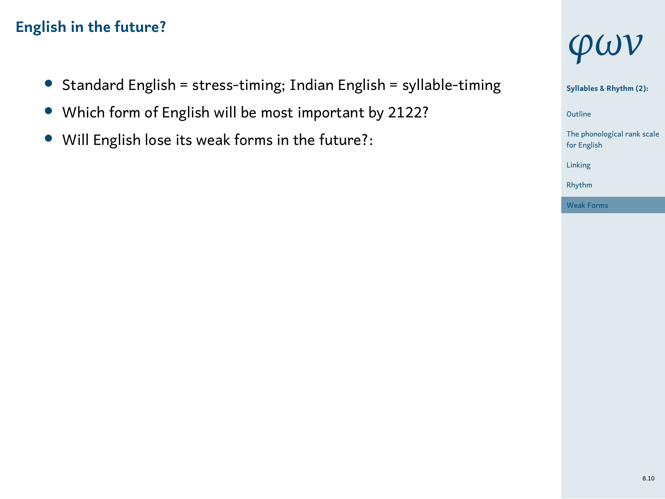- *•* Standard English = stress-timing; Indian English = syllable-timing
- *•* Which form of English will be most important by 2122?
- *•* Will English lose its weak forms in the future?:



**Syllables & Rhythm (2):**

1 Outline tal rank scale The phonole<br>for English Linking Rhythm

Weak For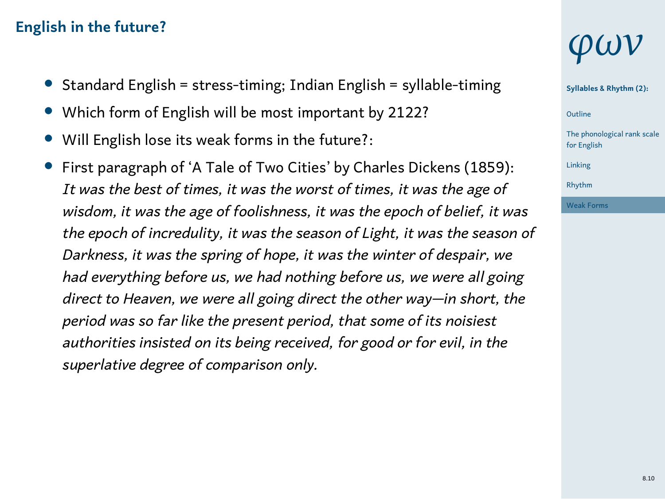- *•* Standard English = stress-timing; Indian English = syllable-timing
- *•* Which form of English will be most important by 2122?
- *•* Will English lose its weak forms in the future?:
- *•* First paragraph of 'A Tale of Two Cities' by Charles Dickens (1859): *It was the best of times, it was the worst of times, it was the age of wisdom, it was the age of foolishness, it was the epoch of belief, it was the epoch of incredulity, it was the season of Light, it was the season of Darkness, it was the spring of hope, it was the winter of despair, we had everything before us, we had nothing before us, we were all going direct to Heaven, we were all going direct the other way—in short, the period was so far like the present period, that some of its noisiest authorities insisted on its being received, for good or for evil, in the superlative degree of comparison only.*

## *φων*